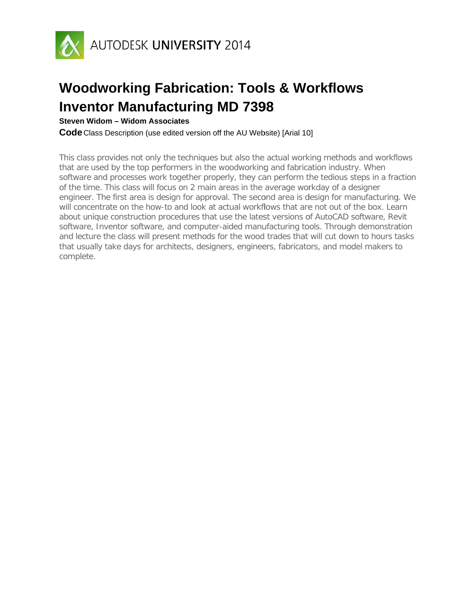

**Steven Widom - Widom Associates** 

**Code** Class Description (use edited version off the AU Website) [Arial 10]

This class provides not only the techniques but also the actual working methods and workflows that are used by the top performers in the woodworking and fabrication industry. When software and processes work together properly, they can perform the tedious steps in a fraction of the time. This class will focus on 2 main areas in the average workday of a designer engineer. The first area is design for approval. The second area is design for manufacturing. We will concentrate on the how-to and look at actual workflows that are not out of the box. Learn about unique construction procedures that use the latest versions of AutoCAD software, Revit software, Inventor software, and computer-aided manufacturing tools. Through demonstration and lecture the class will present methods for the wood trades that will cut down to hours tasks that usually take days for architects, designers, engineers, fabricators, and model makers to complete.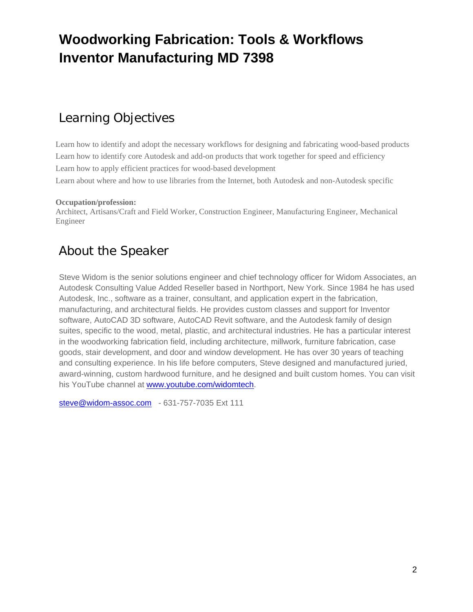### Learning Objectives

Learn how to identify and adopt the necessary workflows for designing and fabricating wood-based products Learn how to identify core Autodesk and add-on products that work together for speed and efficiency Learn how to apply efficient practices for wood-based development Learn about where and how to use libraries from the Internet, both Autodesk and non-Autodesk specific

#### **Occupation/profession:**

Architect, Artisans/Craft and Field Worker, Construction Engineer, Manufacturing Engineer, Mechanical Engineer

### About the Speaker

Steve Widom is the senior solutions engineer and chief technology officer for Widom Associates, an Autodesk Consulting Value Added Reseller based in Northport, New York. Since 1984 he has used Autodesk, Inc., software as a trainer, consultant, and application expert in the fabrication, manufacturing, and architectural fields. He provides custom classes and support for Inventor software, AutoCAD 3D software, AutoCAD Revit software, and the Autodesk family of design suites, specific to the wood, metal, plastic, and architectural industries. He has a particular interest in the woodworking fabrication field, including architecture, millwork, furniture fabrication, case goods, stair development, and door and window development. He has over 30 years of teaching and consulting experience. In his life before computers, Steve designed and manufactured juried, award-winning, custom hardwood furniture, and he designed and built custom homes. You can visit his YouTube channel at www.youtube.com/widomtech.

steve@widom-assoc.com - 631-757-7035 Ext 111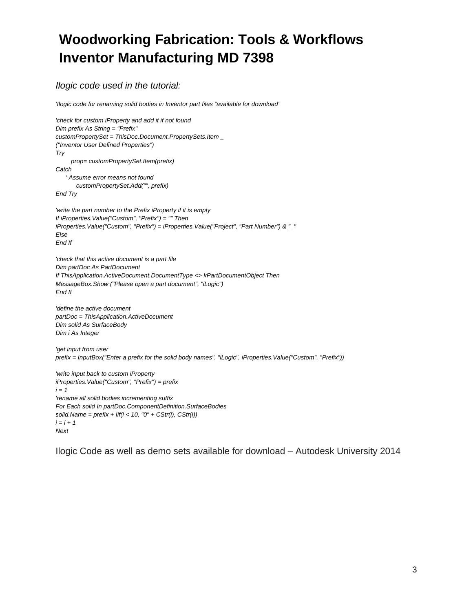### *Ilogic code used in the tutorial:*

*'Ilogic code for renaming solid bodies in Inventor part files "available for download"* 

```
'check for custom iProperty and add it if not found 
Dim prefix As String = "Prefix" 
customPropertySet = ThisDoc.Document.PropertySets.Item _ 
("Inventor User Defined Properties") 
Try 
      prop= customPropertySet.Item(prefix) 
Catch 
     ' Assume error means not found 
        customPropertySet.Add("", prefix) 
End Try 
'write the part number to the Prefix iProperty if it is empty 
If iProperties.Value("Custom", "Prefix") = "" Then 
iProperties.Value("Custom", "Prefix") = iProperties.Value("Project", "Part Number") & "_" 
Else 
End If 
'check that this active document is a part file 
Dim partDoc As PartDocument 
If ThisApplication.ActiveDocument.DocumentType <> kPartDocumentObject Then 
MessageBox.Show ("Please open a part document", "iLogic") 
End If 
'define the active document 
partDoc = ThisApplication.ActiveDocument 
Dim solid As SurfaceBody 
Dim i As Integer 
'get input from user 
prefix = InputBox("Enter a prefix for the solid body names", "iLogic", iProperties.Value("Custom", "Prefix")) 
'write input back to custom iProperty 
iProperties.Value("Custom", "Prefix") = prefix 
i = 1'rename all solid bodies incrementing suffix 
For Each solid In partDoc.ComponentDefinition.SurfaceBodies 
solid.Name = prefix + Iif(i < 10, "0" + CStr(i), CStr(i)) 
i = i + 1Next
```
Ilogic Code as well as demo sets available for download – Autodesk University 2014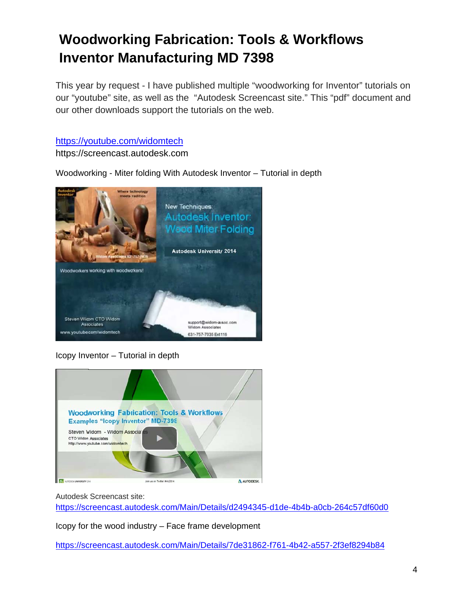This year by request - I have published multiple "woodworking for Inventor" tutorials on our "youtube" site, as well as the "Autodesk Screencast site." This "pdf" document and our other downloads support the tutorials on the web.

https://youtube.com/widomtech

https://screencast.autodesk.com

Woodworking - Miter folding With Autodesk Inventor - Tutorial in depth



Icopy Inventor - Tutorial in depth



Autodesk Screencast site:

https://screencast.autodesk.com/Main/Details/d2494345-d1de-4b4b-a0cb-264c57df60d0

Icopy for the wood industry - Face frame development

https://screencast.autodesk.com/Main/Details/7de31862-f761-4b42-a557-2f3ef8294b84